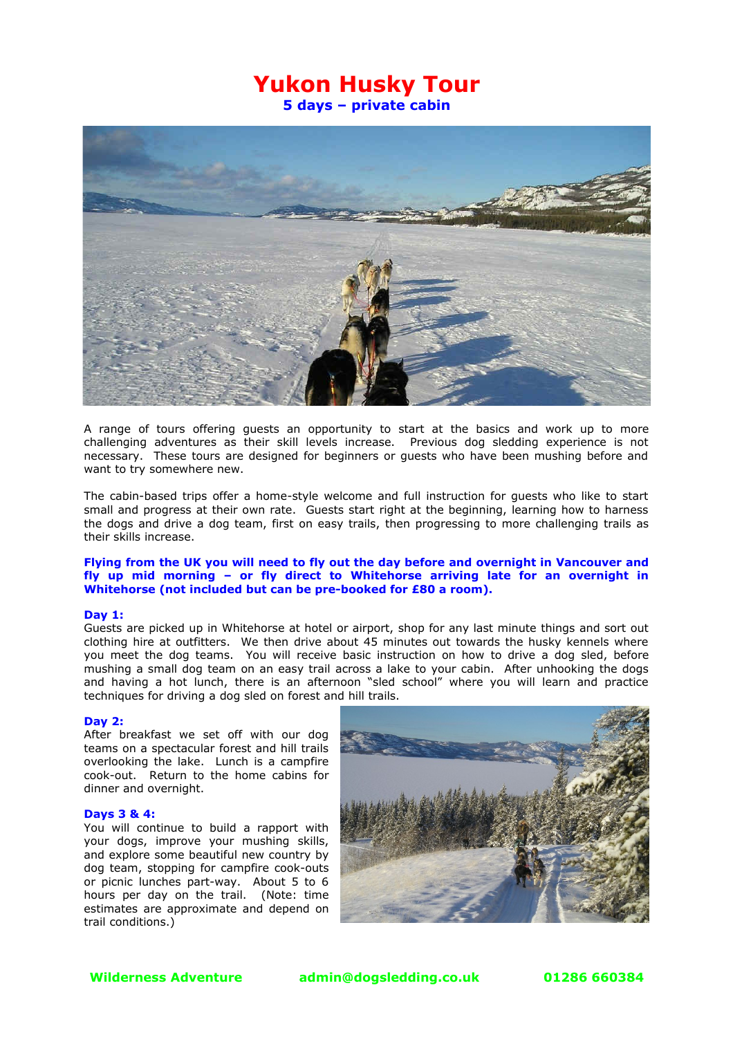# **Yukon Husky Tour**

**5 days – private cabin**



A range of tours offering guests an opportunity to start at the basics and work up to more challenging adventures as their skill levels increase. Previous dog sledding experience is not necessary. These tours are designed for beginners or guests who have been mushing before and want to try somewhere new.

The cabin-based trips offer a home-style welcome and full instruction for guests who like to start small and progress at their own rate. Guests start right at the beginning, learning how to harness the dogs and drive a dog team, first on easy trails, then progressing to more challenging trails as their skills increase.

# **Flying from the UK you will need to fly out the day before and overnight in Vancouver and fly up mid morning – or fly direct to Whitehorse arriving late for an overnight in Whitehorse (not included but can be pre-booked for £80 a room).**

# **Day 1:**

Guests are picked up in Whitehorse at hotel or airport, shop for any last minute things and sort out clothing hire at outfitters. We then drive about 45 minutes out towards the husky kennels where you meet the dog teams. You will receive basic instruction on how to drive a dog sled, before mushing a small dog team on an easy trail across a lake to your cabin. After unhooking the dogs and having a hot lunch, there is an afternoon "sled school" where you will learn and practice techniques for driving a dog sled on forest and hill trails.

# **Day 2:**

After breakfast we set off with our dog teams on a spectacular forest and hill trails overlooking the lake. Lunch is a campfire cook-out. Return to the home cabins for dinner and overnight.

#### **Days 3 & 4:**

You will continue to build a rapport with your dogs, improve your mushing skills, and explore some beautiful new country by dog team, stopping for campfire cook-outs or picnic lunches part-way. About 5 to 6 hours per day on the trail. (Note: time estimates are approximate and depend on trail conditions.)



**Wilderness Adventure admin@dogsledding.co.uk 01286 660384**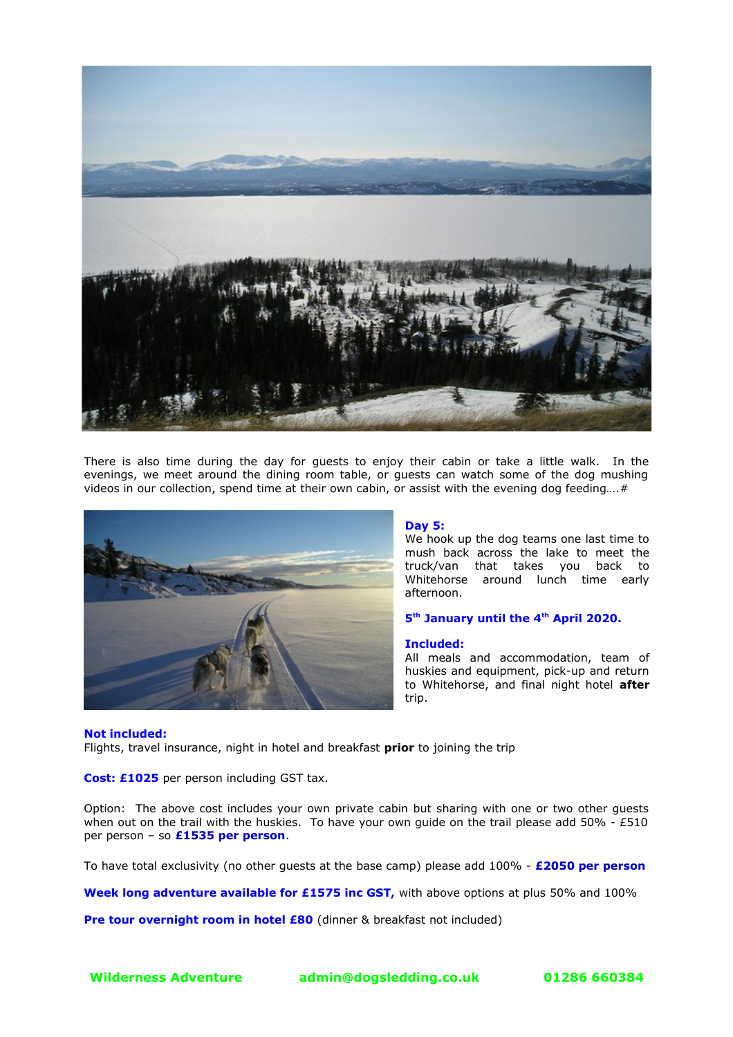

There is also time during the day for guests to enjoy their cabin or take a little walk. In the evenings, we meet around the dining room table, or guests can watch some of the dog mushing videos in our collection, spend time at their own cabin, or assist with the evening dog feeding.... #



# **Day 5:**

We hook up the dog teams one last time to mush back across the lake to meet the truck/van that takes you back to Whitehorse around lunch time early afternoon.

# **5 th January until the 4th April 2020.**

# **Included:**

All meals and accommodation, team of huskies and equipment, pick-up and return to Whitehorse, and final night hotel **after** trip.

# **Not included:**

Flights, travel insurance, night in hotel and breakfast **prior** to joining the trip

**Cost: £1025** per person including GST tax.

Option: The above cost includes your own private cabin but sharing with one or two other guests when out on the trail with the huskies. To have your own guide on the trail please add  $50\%$  - £510 per person – so **£1535 per person**.

To have total exclusivity (no other guests at the base camp) please add 100% - **£2050 per person**

**Week long adventure available for £1575 inc GST,** with above options at plus 50% and 100%

**Pre tour overnight room in hotel £80** (dinner & breakfast not included)